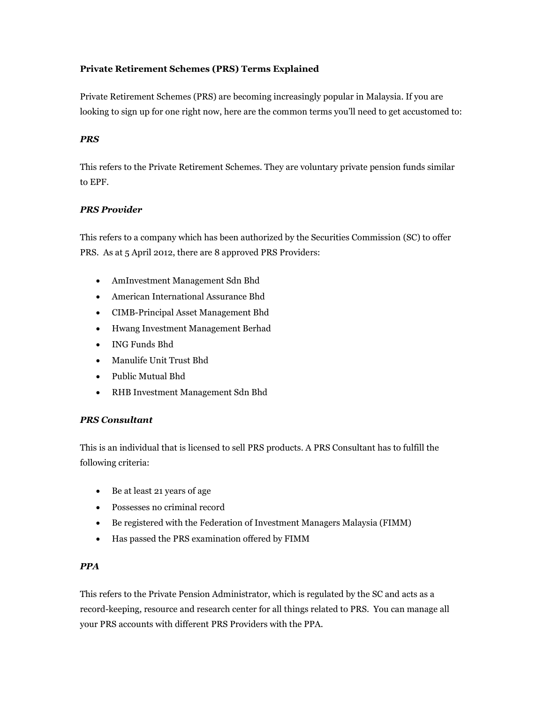# **Private Retirement Schemes (PRS) Terms Explained**

Private Retirement Schemes (PRS) are becoming increasingly popular in Malaysia. If you are looking to sign up for one right now, here are the common terms you'll need to get accustomed to:

# *PRS*

This refers to the Private Retirement Schemes. They are voluntary private pension funds similar to EPF.

# *PRS Provider*

This refers to a company which has been authorized by the Securities Commission (SC) to offer PRS. As at 5 April 2012, there are 8 approved PRS Providers:

- AmInvestment Management Sdn Bhd
- American International Assurance Bhd
- CIMB-Principal Asset Management Bhd
- Hwang Investment Management Berhad
- ING Funds Bhd
- Manulife Unit Trust Bhd
- Public Mutual Bhd
- RHB Investment Management Sdn Bhd

# *PRS Consultant*

This is an individual that is licensed to sell PRS products. A PRS Consultant has to fulfill the following criteria:

- Be at least 21 years of age
- Possesses no criminal record
- Be registered with the Federation of Investment Managers Malaysia (FIMM)
- Has passed the PRS examination offered by FIMM

#### *PPA*

This refers to the Private Pension Administrator, which is regulated by the SC and acts as a record-keeping, resource and research center for all things related to PRS. You can manage all your PRS accounts with different PRS Providers with the PPA.